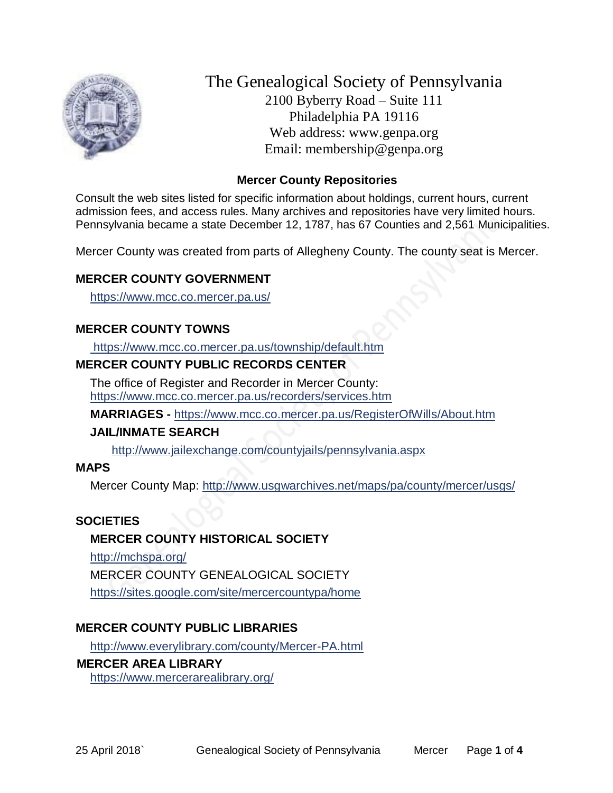

The Genealogical Society of Pennsylvania 2100 Byberry Road – Suite 111 Philadelphia PA 19116 Web address: www.genpa.org Email: membership@genpa.org

## **Mercer County Repositories**

Consult the web sites listed for specific information about holdings, current hours, current admission fees, and access rules. Many archives and repositories have very limited hours. Pennsylvania became a state December 12, 1787, has 67 Counties and 2,561 Municipalities.

Mercer County was created from parts of Allegheny County. The county seat is Mercer.

## **MERCER COUNTY GOVERNMENT**

<https://www.mcc.co.mercer.pa.us/>

#### **MERCER COUNTY TOWNS**

<https://www.mcc.co.mercer.pa.us/township/default.htm>

## **MERCER COUNTY PUBLIC RECORDS CENTER**

The office of Register and Recorder in Mercer County: <https://www.mcc.co.mercer.pa.us/recorders/services.htm>

**MARRIAGES -** <https://www.mcc.co.mercer.pa.us/RegisterOfWills/About.htm>

#### **JAIL/INMATE SEARCH**

<http://www.jailexchange.com/countyjails/pennsylvania.aspx>

#### **MAPS**

Mercer County Map:<http://www.usgwarchives.net/maps/pa/county/mercer/usgs/>

#### **SOCIETIES**

#### **MERCER COUNTY HISTORICAL SOCIETY**

<http://mchspa.org/> MERCER COUNTY GENEALOGICAL SOCIETY <https://sites.google.com/site/mercercountypa/home>

# **MERCER COUNTY PUBLIC LIBRARIES**

<http://www.everylibrary.com/county/Mercer-PA.html>

#### **MERCER AREA LIBRARY**

<https://www.mercerarealibrary.org/>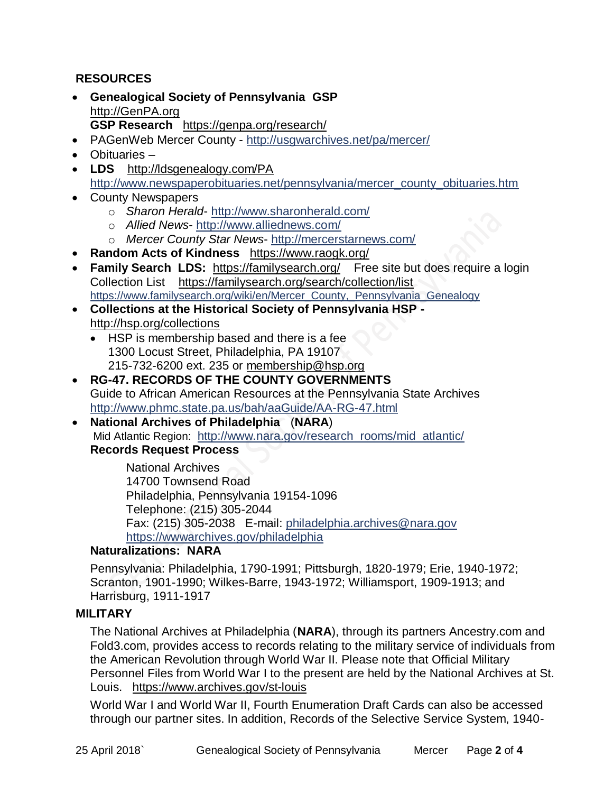# **RESOURCES**

- **Genealogical Society of Pennsylvania GSP** [http://GenPA.org](http://genpa.org/) **GSP Research** <https://genpa.org/research/>
- PAGenWeb Mercer County <http://usgwarchives.net/pa/mercer/>
- Obituaries –
- **LDS** <http://ldsgenealogy.com/PA> [http://www.newspaperobituaries.net/pennsylvania/mercer\\_county\\_obituaries.htm](http://www.newspaperobituaries.net/pennsylvania/mercer_county_obituaries.htm)
- County Newspapers
	- o *Sharon Herald* <http://www.sharonherald.com/>
	- o *Allied News* <http://www.alliednews.com/>
	- o *Mercer County Star News* <http://mercerstarnews.com/>
- **Random Acts of Kindness** <https://www.raogk.org/>
- **Family Search LDS:** <https://familysearch.org/>Free site but does require a login Collection List <https://familysearch.org/search/collection/list> [https://www.familysearch.org/wiki/en/Mercer\\_County,\\_Pennsylvania\\_Genealogy](https://www.familysearch.org/wiki/en/Mercer_County,_Pennsylvania_Genealogy)
- **Collections at the Historical Society of Pennsylvania HSP**  <http://hsp.org/collections>
	- HSP is membership based and there is a fee 1300 Locust Street, Philadelphia, PA 19107 215-732-6200 ext. 235 or [membership@hsp.org](mailto:membership@hsp.org)
- **RG-47. RECORDS OF THE COUNTY GOVERNMENTS** Guide to African American Resources at the Pennsylvania State Archives <http://www.phmc.state.pa.us/bah/aaGuide/AA-RG-47.html>
- **National Archives of Philadelphia** (**NARA**) Mid Atlantic Region: [http://www.nara.gov/research\\_rooms/mid\\_atlantic/](http://www.nara.gov/research_rooms/mid_atlantic/) **Records Request Process**

National Archives 14700 Townsend Road Philadelphia, Pennsylvania 19154-1096 Telephone: (215) 305-2044 Fax: (215) 305-2038 E-mail: [philadelphia.archives@nara.gov](mailto:philadelphia.archives@nara.gov) <https://wwwarchives.gov/philadelphia>

# **Naturalizations: NARA**

Pennsylvania: Philadelphia, 1790-1991; Pittsburgh, 1820-1979; Erie, 1940-1972; Scranton, 1901-1990; Wilkes-Barre, 1943-1972; Williamsport, 1909-1913; and Harrisburg, 1911-1917

#### **MILITARY**

The National Archives at Philadelphia (**NARA**), through its partners Ancestry.com and Fold3.com, provides access to records relating to the military service of individuals from the American Revolution through World War II. Please note that Official Military Personnel Files from World War I to the present are held by the National Archives at St. Louis. <https://www.archives.gov/st-louis>

World War I and World War II, Fourth Enumeration Draft Cards can also be accessed through our partner sites. In addition, Records of the Selective Service System, 1940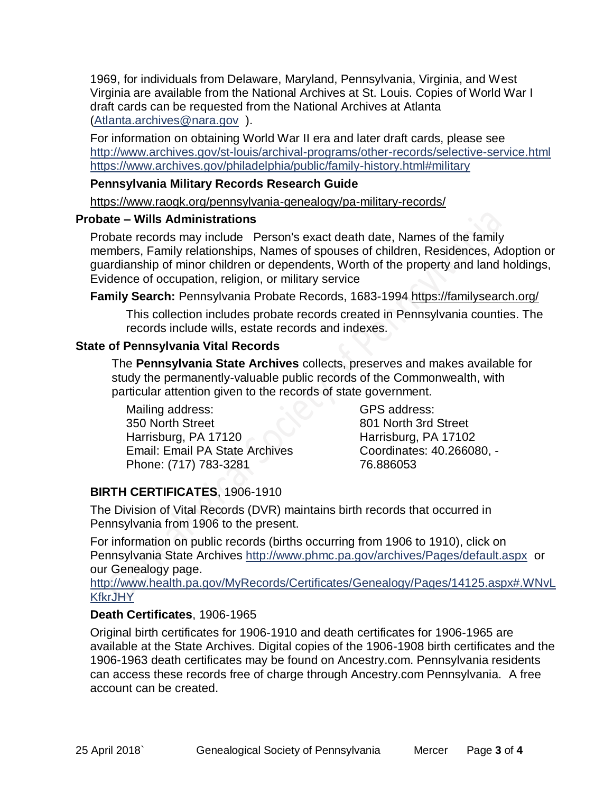1969, for individuals from Delaware, Maryland, Pennsylvania, Virginia, and West Virginia are available from the National Archives at St. Louis. Copies of World War I draft cards can be requested from the National Archives at Atlanta [\(Atlanta.archives@nara.gov](mailto:Atlanta.archives@nara.gov) ).

For information on obtaining World War II era and later draft cards, please see <http://www.archives.gov/st-louis/archival-programs/other-records/selective-service.html> <https://www.archives.gov/philadelphia/public/family-history.html#military>

## **Pennsylvania Military Records Research Guide**

<https://www.raogk.org/pennsylvania-genealogy/pa-military-records/>

## **Probate – Wills Administrations**

Probate records may include Person's exact death date, Names of the family members, Family relationships, Names of spouses of children, Residences, Adoption or guardianship of minor children or dependents, Worth of the property and land holdings, Evidence of occupation, religion, or military service

**Family Search:** Pennsylvania Probate Records, 1683-1994 <https://familysearch.org/>

This collection includes probate records created in Pennsylvania counties. The records include wills, estate records and indexes.

## **State of Pennsylvania Vital Records**

The **Pennsylvania State Archives** collects, preserves and makes available for study the permanently-valuable public records of the Commonwealth, with particular attention given to the records of state government.

Mailing address: 350 North Street Harrisburg, PA 17120 Email: Email PA State Archives Phone: (717) 783-3281

GPS address: 801 North 3rd Street Harrisburg, PA 17102 Coordinates: 40.266080, - 76.886053

# **BIRTH CERTIFICATES**, 1906-1910

The Division of Vital Records (DVR) maintains birth records that occurred in Pennsylvania from 1906 to the present.

For information on public records (births occurring from 1906 to 1910), click on Pennsylvania State Archives <http://www.phmc.pa.gov/archives/Pages/default.aspx>or our Genealogy page.

[http://www.health.pa.gov/MyRecords/Certificates/Genealogy/Pages/14125.aspx#.WNvL](http://www.health.pa.gov/MyRecords/Certificates/Genealogy/Pages/14125.aspx#.WNvLKfkrJHY) **[KfkrJHY](http://www.health.pa.gov/MyRecords/Certificates/Genealogy/Pages/14125.aspx#.WNvLKfkrJHY)** 

# **Death Certificates**, 1906-1965

Original birth certificates for 1906-1910 and death certificates for 1906-1965 are available at the State Archives. Digital copies of the 1906-1908 birth certificates and the 1906-1963 death certificates may be found on Ancestry.com. Pennsylvania residents can access these records free of charge through Ancestry.com Pennsylvania. A free account can be created.